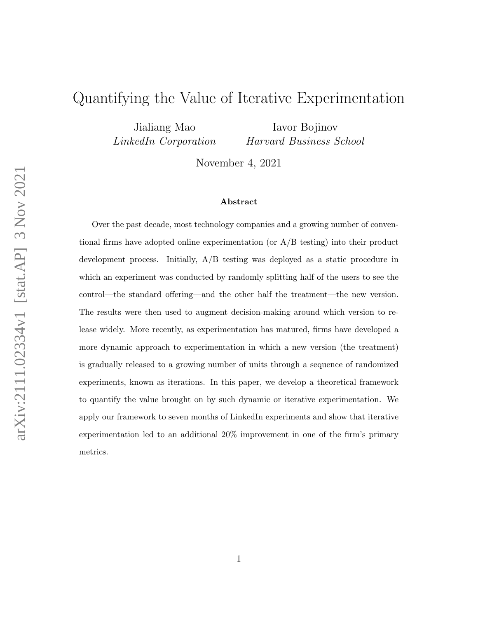## <span id="page-0-0"></span>Quantifying the Value of Iterative Experimentation

Jialiang Mao LinkedIn Corporation

Iavor Bojinov Harvard Business School

November 4, 2021

#### Abstract

Over the past decade, most technology companies and a growing number of conventional firms have adopted online experimentation (or  $A/B$  testing) into their product development process. Initially, A/B testing was deployed as a static procedure in which an experiment was conducted by randomly splitting half of the users to see the control—the standard offering—and the other half the treatment—the new version. The results were then used to augment decision-making around which version to release widely. More recently, as experimentation has matured, firms have developed a more dynamic approach to experimentation in which a new version (the treatment) is gradually released to a growing number of units through a sequence of randomized experiments, known as iterations. In this paper, we develop a theoretical framework to quantify the value brought on by such dynamic or iterative experimentation. We apply our framework to seven months of LinkedIn experiments and show that iterative experimentation led to an additional 20% improvement in one of the firm's primary metrics.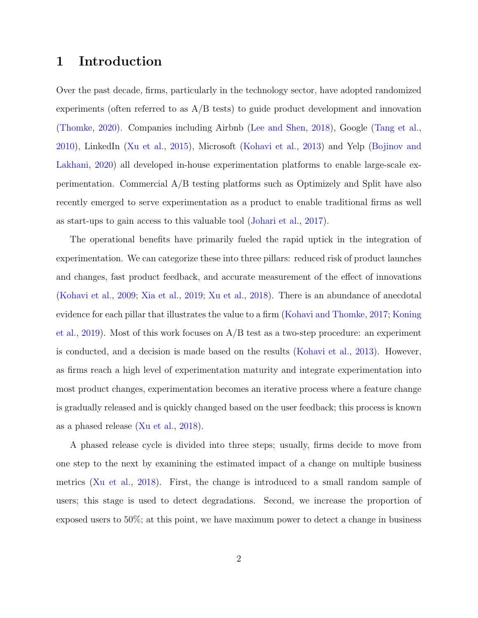## 1 Introduction

Over the past decade, firms, particularly in the technology sector, have adopted randomized experiments (often referred to as  $A/B$  tests) to guide product development and innovation [\(Thomke,](#page-28-0) [2020\)](#page-28-0). Companies including Airbnb [\(Lee and Shen,](#page-27-0) [2018\)](#page-27-0), Google [\(Tang et al.,](#page-28-1) [2010\)](#page-28-1), LinkedIn [\(Xu et al.,](#page-28-2) [2015\)](#page-28-2), Microsoft [\(Kohavi et al.,](#page-26-0) [2013\)](#page-26-0) and Yelp [\(Bojinov and](#page-25-0) [Lakhani,](#page-25-0) [2020\)](#page-25-0) all developed in-house experimentation platforms to enable large-scale experimentation. Commercial A/B testing platforms such as Optimizely and Split have also recently emerged to serve experimentation as a product to enable traditional firms as well as start-ups to gain access to this valuable tool [\(Johari et al.,](#page-26-1) [2017\)](#page-26-1).

The operational benefits have primarily fueled the rapid uptick in the integration of experimentation. We can categorize these into three pillars: reduced risk of product launches and changes, fast product feedback, and accurate measurement of the effect of innovations [\(Kohavi et al.,](#page-26-2) [2009;](#page-26-2) [Xia et al.,](#page-28-3) [2019;](#page-28-3) [Xu et al.,](#page-28-4) [2018\)](#page-28-4). There is an abundance of anecdotal evidence for each pillar that illustrates the value to a firm [\(Kohavi and Thomke,](#page-27-1) [2017;](#page-27-1) [Koning](#page-27-2) [et al.,](#page-27-2) [2019\)](#page-27-2). Most of this work focuses on A/B test as a two-step procedure: an experiment is conducted, and a decision is made based on the results [\(Kohavi et al.,](#page-26-0) [2013\)](#page-26-0). However, as firms reach a high level of experimentation maturity and integrate experimentation into most product changes, experimentation becomes an iterative process where a feature change is gradually released and is quickly changed based on the user feedback; this process is known as a phased release [\(Xu et al.,](#page-28-4) [2018\)](#page-28-4).

A phased release cycle is divided into three steps; usually, firms decide to move from one step to the next by examining the estimated impact of a change on multiple business metrics [\(Xu et al.,](#page-28-4) [2018\)](#page-28-4). First, the change is introduced to a small random sample of users; this stage is used to detect degradations. Second, we increase the proportion of exposed users to 50%; at this point, we have maximum power to detect a change in business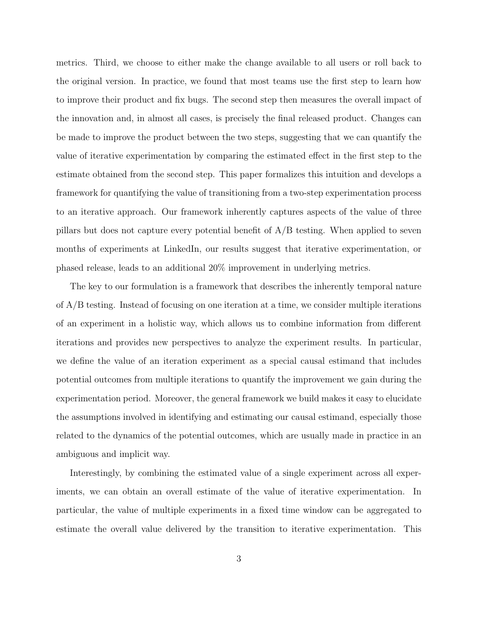metrics. Third, we choose to either make the change available to all users or roll back to the original version. In practice, we found that most teams use the first step to learn how to improve their product and fix bugs. The second step then measures the overall impact of the innovation and, in almost all cases, is precisely the final released product. Changes can be made to improve the product between the two steps, suggesting that we can quantify the value of iterative experimentation by comparing the estimated effect in the first step to the estimate obtained from the second step. This paper formalizes this intuition and develops a framework for quantifying the value of transitioning from a two-step experimentation process to an iterative approach. Our framework inherently captures aspects of the value of three pillars but does not capture every potential benefit of  $A/B$  testing. When applied to seven months of experiments at LinkedIn, our results suggest that iterative experimentation, or phased release, leads to an additional 20% improvement in underlying metrics.

The key to our formulation is a framework that describes the inherently temporal nature of A/B testing. Instead of focusing on one iteration at a time, we consider multiple iterations of an experiment in a holistic way, which allows us to combine information from different iterations and provides new perspectives to analyze the experiment results. In particular, we define the value of an iteration experiment as a special causal estimand that includes potential outcomes from multiple iterations to quantify the improvement we gain during the experimentation period. Moreover, the general framework we build makes it easy to elucidate the assumptions involved in identifying and estimating our causal estimand, especially those related to the dynamics of the potential outcomes, which are usually made in practice in an ambiguous and implicit way.

Interestingly, by combining the estimated value of a single experiment across all experiments, we can obtain an overall estimate of the value of iterative experimentation. In particular, the value of multiple experiments in a fixed time window can be aggregated to estimate the overall value delivered by the transition to iterative experimentation. This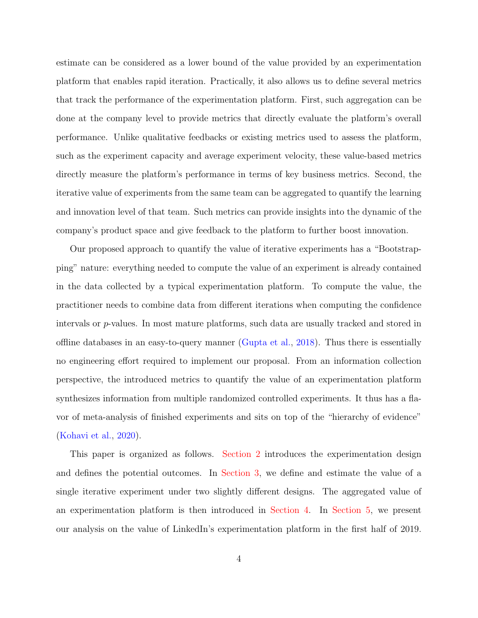estimate can be considered as a lower bound of the value provided by an experimentation platform that enables rapid iteration. Practically, it also allows us to define several metrics that track the performance of the experimentation platform. First, such aggregation can be done at the company level to provide metrics that directly evaluate the platform's overall performance. Unlike qualitative feedbacks or existing metrics used to assess the platform, such as the experiment capacity and average experiment velocity, these value-based metrics directly measure the platform's performance in terms of key business metrics. Second, the iterative value of experiments from the same team can be aggregated to quantify the learning and innovation level of that team. Such metrics can provide insights into the dynamic of the company's product space and give feedback to the platform to further boost innovation.

Our proposed approach to quantify the value of iterative experiments has a "Bootstrapping" nature: everything needed to compute the value of an experiment is already contained in the data collected by a typical experimentation platform. To compute the value, the practitioner needs to combine data from different iterations when computing the confidence intervals or p-values. In most mature platforms, such data are usually tracked and stored in offline databases in an easy-to-query manner [\(Gupta et al.,](#page-26-3) [2018\)](#page-26-3). Thus there is essentially no engineering effort required to implement our proposal. From an information collection perspective, the introduced metrics to quantify the value of an experimentation platform synthesizes information from multiple randomized controlled experiments. It thus has a flavor of meta-analysis of finished experiments and sits on top of the "hierarchy of evidence" [\(Kohavi et al.,](#page-26-4) [2020\)](#page-26-4).

This paper is organized as follows. [Section 2](#page-4-0) introduces the experimentation design and defines the potential outcomes. In [Section 3,](#page-8-0) we define and estimate the value of a single iterative experiment under two slightly different designs. The aggregated value of an experimentation platform is then introduced in [Section 4.](#page-17-0) In [Section 5,](#page-19-0) we present our analysis on the value of LinkedIn's experimentation platform in the first half of 2019.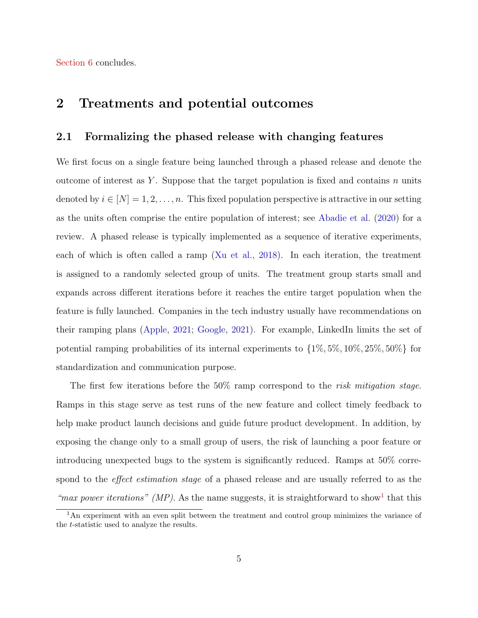[Section 6](#page-24-0) concludes.

## <span id="page-4-0"></span>2 Treatments and potential outcomes

#### 2.1 Formalizing the phased release with changing features

We first focus on a single feature being launched through a phased release and denote the outcome of interest as Y. Suppose that the target population is fixed and contains n units denoted by  $i \in [N] = 1, 2, \ldots, n$ . This fixed population perspective is attractive in our setting as the units often comprise the entire population of interest; see [Abadie et al.](#page-25-1) [\(2020\)](#page-25-1) for a review. A phased release is typically implemented as a sequence of iterative experiments, each of which is often called a ramp [\(Xu et al.,](#page-28-4) [2018\)](#page-28-4). In each iteration, the treatment is assigned to a randomly selected group of units. The treatment group starts small and expands across different iterations before it reaches the entire target population when the feature is fully launched. Companies in the tech industry usually have recommendations on their ramping plans [\(Apple,](#page-25-2) [2021;](#page-25-2) [Google,](#page-26-5) [2021\)](#page-26-5). For example, LinkedIn limits the set of potential ramping probabilities of its internal experiments to  $\{1\%, 5\%, 10\%, 25\%, 50\%\}\$ for standardization and communication purpose.

The first few iterations before the  $50\%$  ramp correspond to the *risk mitigation stage*. Ramps in this stage serve as test runs of the new feature and collect timely feedback to help make product launch decisions and guide future product development. In addition, by exposing the change only to a small group of users, the risk of launching a poor feature or introducing unexpected bugs to the system is significantly reduced. Ramps at 50% correspond to the *effect estimation stage* of a phased release and are usually referred to as the "max power iterations" (MP). As the name suggests, it is straightforward to show<sup>[1](#page-0-0)</sup> that this

<sup>&</sup>lt;sup>1</sup>An experiment with an even split between the treatment and control group minimizes the variance of the t-statistic used to analyze the results.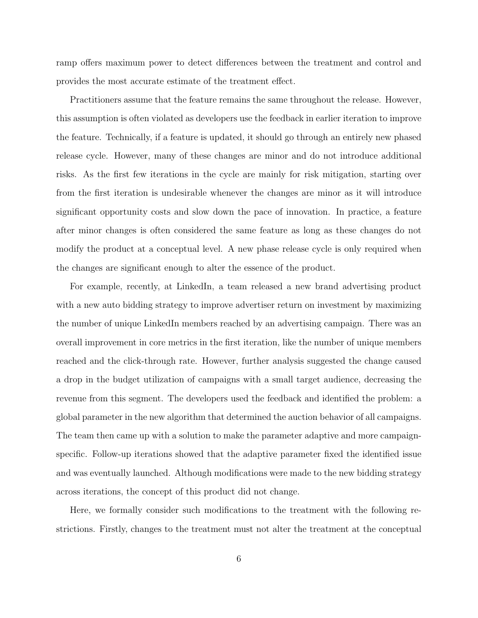ramp offers maximum power to detect differences between the treatment and control and provides the most accurate estimate of the treatment effect.

Practitioners assume that the feature remains the same throughout the release. However, this assumption is often violated as developers use the feedback in earlier iteration to improve the feature. Technically, if a feature is updated, it should go through an entirely new phased release cycle. However, many of these changes are minor and do not introduce additional risks. As the first few iterations in the cycle are mainly for risk mitigation, starting over from the first iteration is undesirable whenever the changes are minor as it will introduce significant opportunity costs and slow down the pace of innovation. In practice, a feature after minor changes is often considered the same feature as long as these changes do not modify the product at a conceptual level. A new phase release cycle is only required when the changes are significant enough to alter the essence of the product.

For example, recently, at LinkedIn, a team released a new brand advertising product with a new auto bidding strategy to improve advertiser return on investment by maximizing the number of unique LinkedIn members reached by an advertising campaign. There was an overall improvement in core metrics in the first iteration, like the number of unique members reached and the click-through rate. However, further analysis suggested the change caused a drop in the budget utilization of campaigns with a small target audience, decreasing the revenue from this segment. The developers used the feedback and identified the problem: a global parameter in the new algorithm that determined the auction behavior of all campaigns. The team then came up with a solution to make the parameter adaptive and more campaignspecific. Follow-up iterations showed that the adaptive parameter fixed the identified issue and was eventually launched. Although modifications were made to the new bidding strategy across iterations, the concept of this product did not change.

Here, we formally consider such modifications to the treatment with the following restrictions. Firstly, changes to the treatment must not alter the treatment at the conceptual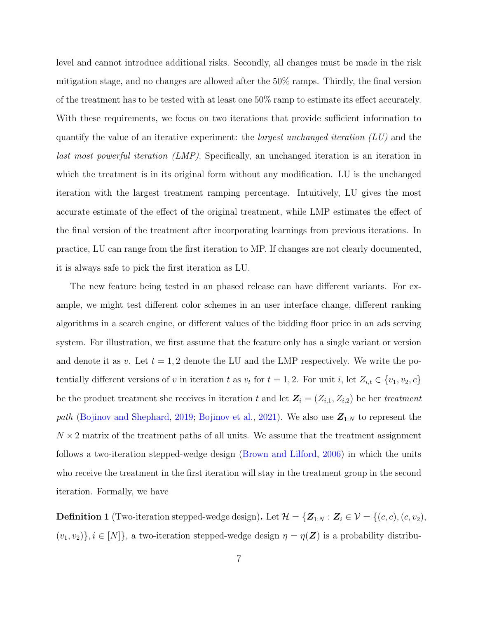level and cannot introduce additional risks. Secondly, all changes must be made in the risk mitigation stage, and no changes are allowed after the 50% ramps. Thirdly, the final version of the treatment has to be tested with at least one 50% ramp to estimate its effect accurately. With these requirements, we focus on two iterations that provide sufficient information to quantify the value of an iterative experiment: the *largest unchanged iteration*  $(LU)$  and the last most powerful iteration (LMP). Specifically, an unchanged iteration is an iteration in which the treatment is in its original form without any modification. LU is the unchanged iteration with the largest treatment ramping percentage. Intuitively, LU gives the most accurate estimate of the effect of the original treatment, while LMP estimates the effect of the final version of the treatment after incorporating learnings from previous iterations. In practice, LU can range from the first iteration to MP. If changes are not clearly documented, it is always safe to pick the first iteration as LU.

The new feature being tested in an phased release can have different variants. For example, we might test different color schemes in an user interface change, different ranking algorithms in a search engine, or different values of the bidding floor price in an ads serving system. For illustration, we first assume that the feature only has a single variant or version and denote it as v. Let  $t = 1, 2$  denote the LU and the LMP respectively. We write the potentially different versions of v in iteration t as  $v_t$  for  $t = 1, 2$ . For unit i, let  $Z_{i,t} \in \{v_1, v_2, c\}$ be the product treatment she receives in iteration t and let  $\mathbf{Z}_i = (Z_{i,1}, Z_{i,2})$  be her treatment path [\(Bojinov and Shephard,](#page-26-6) [2019;](#page-26-6) [Bojinov et al.,](#page-25-3) [2021\)](#page-25-3). We also use  $\mathbf{Z}_{1:N}$  to represent the  $N \times 2$  matrix of the treatment paths of all units. We assume that the treatment assignment follows a two-iteration stepped-wedge design [\(Brown and Lilford,](#page-26-7) [2006\)](#page-26-7) in which the units who receive the treatment in the first iteration will stay in the treatment group in the second iteration. Formally, we have

**Definition 1** (Two-iteration stepped-wedge design). Let  $\mathcal{H} = \{ \mathbf{Z}_{1:N} : \mathbf{Z}_i \in \mathcal{V} = \{(c, c), (c, v_2),$  $(v_1, v_2)$ ,  $i \in [N]$ , a two-iteration stepped-wedge design  $\eta = \eta(\mathbf{Z})$  is a probability distribu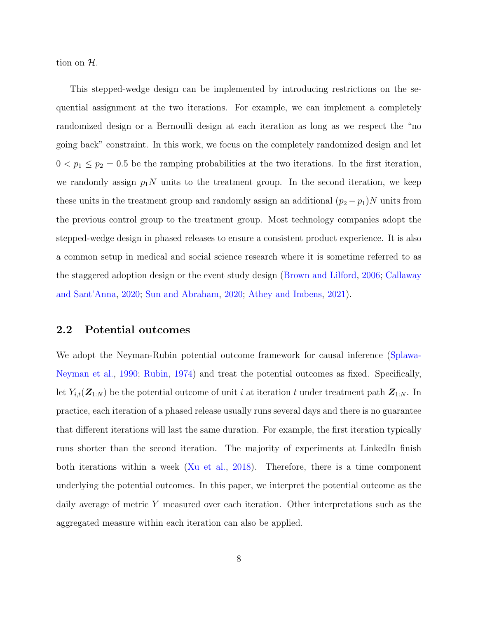tion on H.

This stepped-wedge design can be implemented by introducing restrictions on the sequential assignment at the two iterations. For example, we can implement a completely randomized design or a Bernoulli design at each iteration as long as we respect the "no going back" constraint. In this work, we focus on the completely randomized design and let  $0 < p_1 \leq p_2 = 0.5$  be the ramping probabilities at the two iterations. In the first iteration, we randomly assign  $p_1N$  units to the treatment group. In the second iteration, we keep these units in the treatment group and randomly assign an additional  $(p_2 - p_1)N$  units from the previous control group to the treatment group. Most technology companies adopt the stepped-wedge design in phased releases to ensure a consistent product experience. It is also a common setup in medical and social science research where it is sometime referred to as the staggered adoption design or the event study design [\(Brown and Lilford,](#page-26-7) [2006;](#page-26-7) [Callaway](#page-26-8) [and Sant'Anna,](#page-26-8) [2020;](#page-26-8) [Sun and Abraham,](#page-27-3) [2020;](#page-27-3) [Athey and Imbens,](#page-25-4) [2021\)](#page-25-4).

#### <span id="page-7-0"></span>2.2 Potential outcomes

We adopt the Neyman-Rubin potential outcome framework for causal inference [\(Splawa-](#page-27-4)[Neyman et al.,](#page-27-4) [1990;](#page-27-4) [Rubin,](#page-27-5) [1974\)](#page-27-5) and treat the potential outcomes as fixed. Specifically, let  $Y_{i,t}(\mathbf{Z}_{1:N})$  be the potential outcome of unit i at iteration t under treatment path  $\mathbf{Z}_{1:N}$ . In practice, each iteration of a phased release usually runs several days and there is no guarantee that different iterations will last the same duration. For example, the first iteration typically runs shorter than the second iteration. The majority of experiments at LinkedIn finish both iterations within a week [\(Xu et al.,](#page-28-4) [2018\)](#page-28-4). Therefore, there is a time component underlying the potential outcomes. In this paper, we interpret the potential outcome as the daily average of metric Y measured over each iteration. Other interpretations such as the aggregated measure within each iteration can also be applied.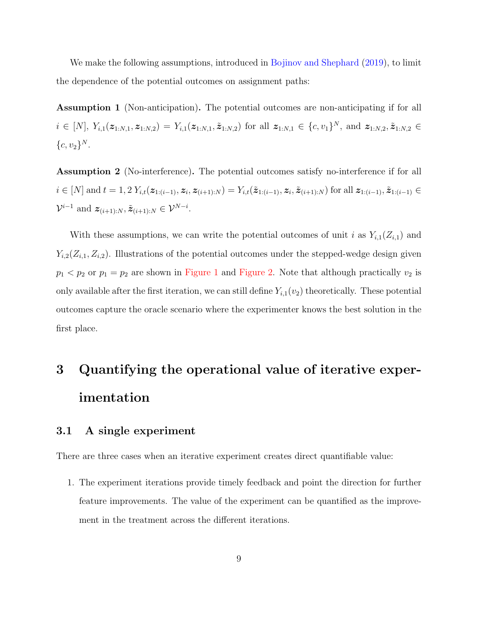We make the following assumptions, introduced in [Bojinov and Shephard](#page-26-6) [\(2019\)](#page-26-6), to limit the dependence of the potential outcomes on assignment paths:

Assumption 1 (Non-anticipation). The potential outcomes are non-anticipating if for all  $i \in [N], Y_{i,1}(z_{1:N,1}, z_{1:N,2}) = Y_{i,1}(z_{1:N,1}, \tilde{z}_{1:N,2})$  for all  $z_{1:N,1} \in \{c, v_1\}^N$ , and  $z_{1:N,2}, \tilde{z}_{1:N,2} \in$  ${c, v_2}^N.$ 

Assumption 2 (No-interference). The potential outcomes satisfy no-interference if for all  $i \in [N]$  and  $t = 1, 2 Y_{i,t}(z_{1:(i-1)}, z_i, z_{(i+1):N}) = Y_{i,t}(\tilde{z}_{1:(i-1)}, z_i, \tilde{z}_{(i+1):N})$  for all  $z_{1:(i-1)}, \tilde{z}_{1:(i-1)} \in$  $\mathcal{V}^{i-1}$  and  $\mathbf{z}_{(i+1):N}, \tilde{\mathbf{z}}_{(i+1):N} \in \mathcal{V}^{N-i}$ .

With these assumptions, we can write the potential outcomes of unit i as  $Y_{i,1}(Z_{i,1})$  and  $Y_{i,2}(Z_{i,1}, Z_{i,2})$ . Illustrations of the potential outcomes under the stepped-wedge design given  $p_1 < p_2$  or  $p_1 = p_2$  are shown in [Figure 1](#page-14-0) and [Figure 2.](#page-15-0) Note that although practically  $v_2$  is only available after the first iteration, we can still define  $Y_{i,1}(v_2)$  theoretically. These potential outcomes capture the oracle scenario where the experimenter knows the best solution in the first place.

# <span id="page-8-0"></span>3 Quantifying the operational value of iterative experimentation

#### 3.1 A single experiment

There are three cases when an iterative experiment creates direct quantifiable value:

1. The experiment iterations provide timely feedback and point the direction for further feature improvements. The value of the experiment can be quantified as the improvement in the treatment across the different iterations.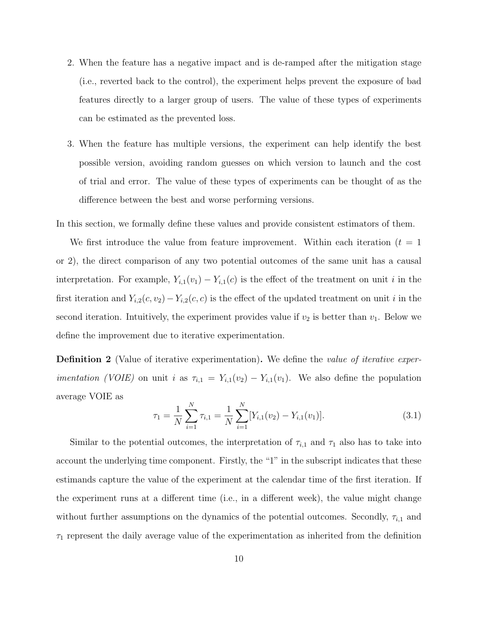- 2. When the feature has a negative impact and is de-ramped after the mitigation stage (i.e., reverted back to the control), the experiment helps prevent the exposure of bad features directly to a larger group of users. The value of these types of experiments can be estimated as the prevented loss.
- 3. When the feature has multiple versions, the experiment can help identify the best possible version, avoiding random guesses on which version to launch and the cost of trial and error. The value of these types of experiments can be thought of as the difference between the best and worse performing versions.

In this section, we formally define these values and provide consistent estimators of them.

We first introduce the value from feature improvement. Within each iteration  $(t = 1)$ or 2), the direct comparison of any two potential outcomes of the same unit has a causal interpretation. For example,  $Y_{i,1}(v_1) - Y_{i,1}(c)$  is the effect of the treatment on unit i in the first iteration and  $Y_{i,2}(c, v_2) - Y_{i,2}(c, c)$  is the effect of the updated treatment on unit i in the second iteration. Intuitively, the experiment provides value if  $v_2$  is better than  $v_1$ . Below we define the improvement due to iterative experimentation.

**Definition 2** (Value of iterative experimentation). We define the *value of iterative experimentation (VOIE)* on unit *i* as  $\tau_{i,1} = Y_{i,1}(v_2) - Y_{i,1}(v_1)$ . We also define the population average VOIE as

<span id="page-9-0"></span>
$$
\tau_1 = \frac{1}{N} \sum_{i=1}^{N} \tau_{i,1} = \frac{1}{N} \sum_{i=1}^{N} [Y_{i,1}(v_2) - Y_{i,1}(v_1)].
$$
\n(3.1)

Similar to the potential outcomes, the interpretation of  $\tau_{i,1}$  and  $\tau_1$  also has to take into account the underlying time component. Firstly, the "1" in the subscript indicates that these estimands capture the value of the experiment at the calendar time of the first iteration. If the experiment runs at a different time (i.e., in a different week), the value might change without further assumptions on the dynamics of the potential outcomes. Secondly,  $\tau_{i,1}$  and  $\tau_1$  represent the daily average value of the experimentation as inherited from the definition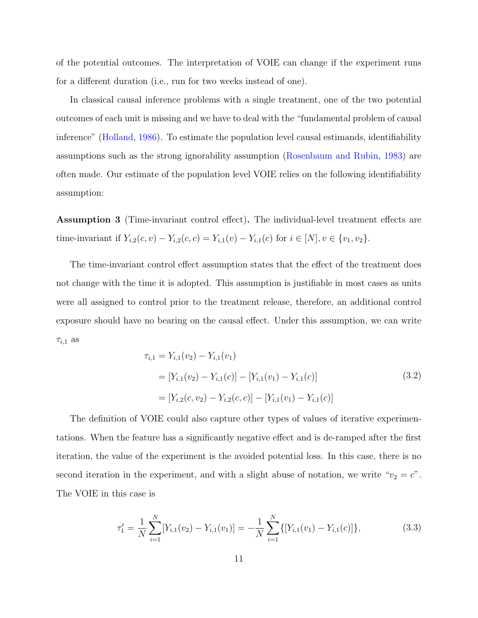of the potential outcomes. The interpretation of VOIE can change if the experiment runs for a different duration (i.e., run for two weeks instead of one).

In classical causal inference problems with a single treatment, one of the two potential outcomes of each unit is missing and we have to deal with the "fundamental problem of causal inference" [\(Holland,](#page-26-9) [1986\)](#page-26-9). To estimate the population level causal estimands, identifiability assumptions such as the strong ignorability assumption [\(Rosenbaum and Rubin,](#page-27-6) [1983\)](#page-27-6) are often made. Our estimate of the population level VOIE relies on the following identifiability assumption:

<span id="page-10-0"></span>Assumption 3 (Time-invariant control effect). The individual-level treatment effects are time-invariant if  $Y_{i,2}(c, v) - Y_{i,2}(c, c) = Y_{i,1}(v) - Y_{i,1}(c)$  for  $i \in [N], v \in \{v_1, v_2\}.$ 

The time-invariant control effect assumption states that the effect of the treatment does not change with the time it is adopted. This assumption is justifiable in most cases as units were all assigned to control prior to the treatment release, therefore, an additional control exposure should have no bearing on the causal effect. Under this assumption, we can write  $\tau_{i,1}$  as

$$
\tau_{i,1} = Y_{i,1}(v_2) - Y_{i,1}(v_1)
$$
  
= 
$$
[Y_{i,1}(v_2) - Y_{i,1}(c)] - [Y_{i,1}(v_1) - Y_{i,1}(c)]
$$
  
= 
$$
[Y_{i,2}(c, v_2) - Y_{i,2}(c, c)] - [Y_{i,1}(v_1) - Y_{i,1}(c)]
$$
 (3.2)

The definition of VOIE could also capture other types of values of iterative experimentations. When the feature has a significantly negative effect and is de-ramped after the first iteration, the value of the experiment is the avoided potential loss. In this case, there is no second iteration in the experiment, and with a slight abuse of notation, we write " $v_2 = c$ ". The VOIE in this case is

$$
\tau_1' = \frac{1}{N} \sum_{i=1}^{N} [Y_{i,1}(v_2) - Y_{i,1}(v_1)] = -\frac{1}{N} \sum_{i=1}^{N} \{ [Y_{i,1}(v_1) - Y_{i,1}(c)] \},
$$
\n(3.3)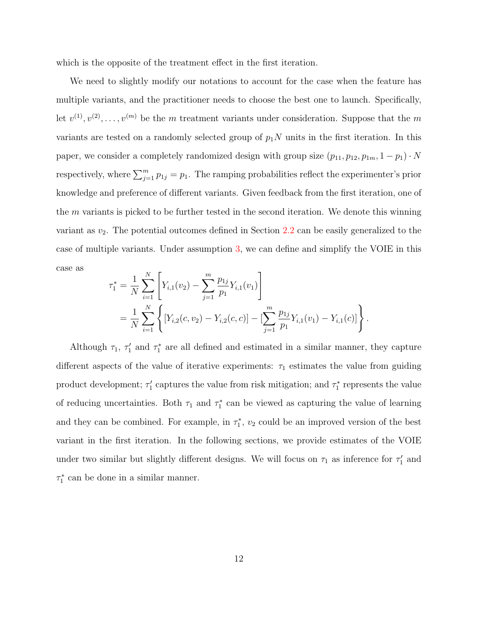which is the opposite of the treatment effect in the first iteration.

We need to slightly modify our notations to account for the case when the feature has multiple variants, and the practitioner needs to choose the best one to launch. Specifically, let  $v^{(1)}, v^{(2)}, \ldots, v^{(m)}$  be the m treatment variants under consideration. Suppose that the m variants are tested on a randomly selected group of  $p_1N$  units in the first iteration. In this paper, we consider a completely randomized design with group size  $(p_{11}, p_{12}, p_{1m}, 1 - p_1) \cdot N$ respectively, where  $\sum_{j=1}^{m} p_{1j} = p_1$ . The ramping probabilities reflect the experimenter's prior knowledge and preference of different variants. Given feedback from the first iteration, one of the  $m$  variants is picked to be further tested in the second iteration. We denote this winning variant as  $v_2$ . The potential outcomes defined in Section [2.2](#page-7-0) can be easily generalized to the case of multiple variants. Under assumption [3,](#page-10-0) we can define and simplify the VOIE in this case as

$$
\tau_1^* = \frac{1}{N} \sum_{i=1}^N \left[ Y_{i,1}(v_2) - \sum_{j=1}^m \frac{p_{1j}}{p_1} Y_{i,1}(v_1) \right]
$$
  
= 
$$
\frac{1}{N} \sum_{i=1}^N \left\{ \left[ Y_{i,2}(c, v_2) - Y_{i,2}(c, c) \right] - \left[ \sum_{j=1}^m \frac{p_{1j}}{p_1} Y_{i,1}(v_1) - Y_{i,1}(c) \right] \right\}
$$

.

Although  $\tau_1$ ,  $\tau'_1$  and  $\tau_1^*$  are all defined and estimated in a similar manner, they capture different aspects of the value of iterative experiments:  $\tau_1$  estimates the value from guiding product development;  $\tau_1'$  captures the value from risk mitigation; and  $\tau_1^*$  represents the value of reducing uncertainties. Both  $\tau_1$  and  $\tau_1^*$  can be viewed as capturing the value of learning and they can be combined. For example, in  $\tau_1^*$ ,  $v_2$  could be an improved version of the best variant in the first iteration. In the following sections, we provide estimates of the VOIE under two similar but slightly different designs. We will focus on  $\tau_1$  as inference for  $\tau'_1$  and  $\tau_1^*$  can be done in a similar manner.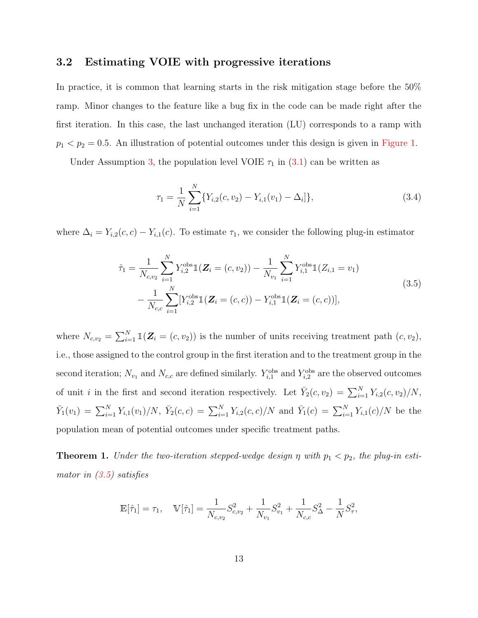#### <span id="page-12-1"></span>3.2 Estimating VOIE with progressive iterations

In practice, it is common that learning starts in the risk mitigation stage before the 50% ramp. Minor changes to the feature like a bug fix in the code can be made right after the first iteration. In this case, the last unchanged iteration (LU) corresponds to a ramp with  $p_1 < p_2 = 0.5$ . An illustration of potential outcomes under this design is given in [Figure 1.](#page-14-0)

Under Assumption [3,](#page-10-0) the population level VOIE  $\tau_1$  in  $(3.1)$  can be written as

<span id="page-12-2"></span><span id="page-12-0"></span>
$$
\tau_1 = \frac{1}{N} \sum_{i=1}^{N} \{ Y_{i,2}(c, v_2) - Y_{i,1}(v_1) - \Delta_i \}, \tag{3.4}
$$

where  $\Delta_i = Y_{i,2}(c, c) - Y_{i,1}(c)$ . To estimate  $\tau_1$ , we consider the following plug-in estimator

$$
\hat{\tau}_1 = \frac{1}{N_{c,v_2}} \sum_{i=1}^N Y_{i,2}^{\text{obs}} \mathbb{1}(\mathbf{Z}_i = (c, v_2)) - \frac{1}{N_{v_1}} \sum_{i=1}^N Y_{i,1}^{\text{obs}} \mathbb{1}(Z_{i,1} = v_1)
$$
\n
$$
- \frac{1}{N_{c,c}} \sum_{i=1}^N [Y_{i,2}^{\text{obs}} \mathbb{1}(\mathbf{Z}_i = (c, c)) - Y_{i,1}^{\text{obs}} \mathbb{1}(\mathbf{Z}_i = (c, c))],
$$
\n(3.5)

where  $N_{c,v_2} = \sum_{i=1}^{N} \mathbb{1}(Z_i = (c, v_2))$  is the number of units receiving treatment path  $(c, v_2)$ , i.e., those assigned to the control group in the first iteration and to the treatment group in the second iteration;  $N_{v_1}$  and  $N_{c,c}$  are defined similarly.  $Y_{i,1}^{\text{obs}}$  and  $Y_{i,2}^{\text{obs}}$  are the observed outcomes of unit *i* in the first and second iteration respectively. Let  $\bar{Y}_2(c, v_2) = \sum_{i=1}^N Y_{i,2}(c, v_2)/N$ ,  $\bar{Y}_1(v_1) = \sum_{i=1}^N Y_{i,1}(v_1)/N$ ,  $\bar{Y}_2(c,c) = \sum_{i=1}^N Y_{i,2}(c,c)/N$  and  $\bar{Y}_1(c) = \sum_{i=1}^N Y_{i,1}(c)/N$  be the population mean of potential outcomes under specific treatment paths.

<span id="page-12-3"></span>**Theorem 1.** Under the two-iteration stepped-wedge design  $\eta$  with  $p_1 < p_2$ , the plug-in estimator in  $(3.5)$  satisfies

$$
\mathbb{E}[\hat{\tau}_1] = \tau_1, \quad \mathbb{V}[\hat{\tau}_1] = \frac{1}{N_{c,v_2}} S_{c,v_2}^2 + \frac{1}{N_{v_1}} S_{v_1}^2 + \frac{1}{N_{c,c}} S_{\Delta}^2 - \frac{1}{N} S_{\tau}^2,
$$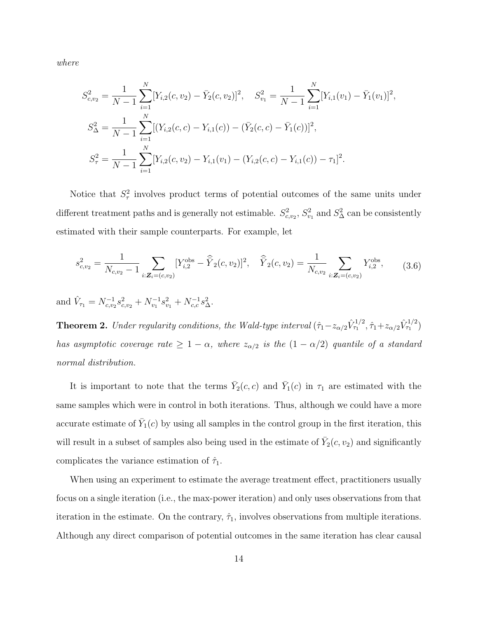where

$$
S_{c,v_2}^2 = \frac{1}{N-1} \sum_{i=1}^N [Y_{i,2}(c, v_2) - \bar{Y}_2(c, v_2)]^2, \quad S_{v_1}^2 = \frac{1}{N-1} \sum_{i=1}^N [Y_{i,1}(v_1) - \bar{Y}_1(v_1)]^2,
$$
  
\n
$$
S_{\Delta}^2 = \frac{1}{N-1} \sum_{i=1}^N [(Y_{i,2}(c, c) - Y_{i,1}(c)) - (\bar{Y}_2(c, c) - \bar{Y}_1(c))]^2,
$$
  
\n
$$
S_{\tau}^2 = \frac{1}{N-1} \sum_{i=1}^N [Y_{i,2}(c, v_2) - Y_{i,1}(v_1) - (Y_{i,2}(c, c) - Y_{i,1}(c)) - \tau_1]^2.
$$

Notice that  $S^2_\tau$  involves product terms of potential outcomes of the same units under different treatment paths and is generally not estimable.  $S^2_{c,v_2}$ ,  $S^2_{v_1}$  and  $S^2_{\Delta}$  can be consistently estimated with their sample counterparts. For example, let

$$
s_{c,v_2}^2 = \frac{1}{N_{c,v_2} - 1} \sum_{i: \mathbf{Z}_i = (c,v_2)} [Y_{i,2}^{\text{obs}} - \widehat{Y}_2(c,v_2)]^2, \quad \widehat{Y}_2(c,v_2) = \frac{1}{N_{c,v_2}} \sum_{i: \mathbf{Z}_i = (c,v_2)} Y_{i,2}^{\text{obs}}, \quad (3.6)
$$

and  $\hat{V}_{\tau_1} = N_{c,v_2}^{-1} s_{c,v_2}^2 + N_{v_1}^{-1} s_{v_1}^2 + N_{c,c}^{-1} s_{\Delta}^2$ .

<span id="page-13-0"></span>**Theorem 2.** Under regularity conditions, the Wald-type interval  $(\hat{\tau}_1 - z_{\alpha/2} \hat{V}_{\tau_1}^{1/2}, \hat{\tau}_1 + z_{\alpha/2} \hat{V}_{\tau_1}^{1/2})$ has asymptotic coverage rate  $\geq 1 - \alpha$ , where  $z_{\alpha/2}$  is the  $(1 - \alpha/2)$  quantile of a standard normal distribution.

It is important to note that the terms  $\bar{Y}_2(c,c)$  and  $\bar{Y}_1(c)$  in  $\tau_1$  are estimated with the same samples which were in control in both iterations. Thus, although we could have a more accurate estimate of  $\bar{Y}_1(c)$  by using all samples in the control group in the first iteration, this will result in a subset of samples also being used in the estimate of  $\bar{Y}_2(c, v_2)$  and significantly complicates the variance estimation of  $\hat{\tau}_1$ .

When using an experiment to estimate the average treatment effect, practitioners usually focus on a single iteration (i.e., the max-power iteration) and only uses observations from that iteration in the estimate. On the contrary,  $\hat{\tau}_1$ , involves observations from multiple iterations. Although any direct comparison of potential outcomes in the same iteration has clear causal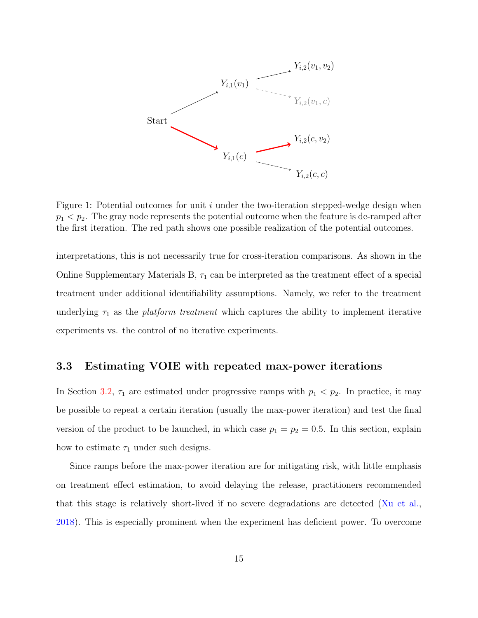<span id="page-14-0"></span>

Figure 1: Potential outcomes for unit  $i$  under the two-iteration stepped-wedge design when  $p_1 < p_2$ . The gray node represents the potential outcome when the feature is de-ramped after the first iteration. The red path shows one possible realization of the potential outcomes.

interpretations, this is not necessarily true for cross-iteration comparisons. As shown in the Online Supplementary Materials B,  $\tau_1$  can be interpreted as the treatment effect of a special treatment under additional identifiability assumptions. Namely, we refer to the treatment underlying  $\tau_1$  as the *platform treatment* which captures the ability to implement iterative experiments vs. the control of no iterative experiments.

#### <span id="page-14-1"></span>3.3 Estimating VOIE with repeated max-power iterations

In Section [3.2,](#page-12-1)  $\tau_1$  are estimated under progressive ramps with  $p_1 < p_2$ . In practice, it may be possible to repeat a certain iteration (usually the max-power iteration) and test the final version of the product to be launched, in which case  $p_1 = p_2 = 0.5$ . In this section, explain how to estimate  $\tau_1$  under such designs.

Since ramps before the max-power iteration are for mitigating risk, with little emphasis on treatment effect estimation, to avoid delaying the release, practitioners recommended that this stage is relatively short-lived if no severe degradations are detected [\(Xu et al.,](#page-28-4) [2018\)](#page-28-4). This is especially prominent when the experiment has deficient power. To overcome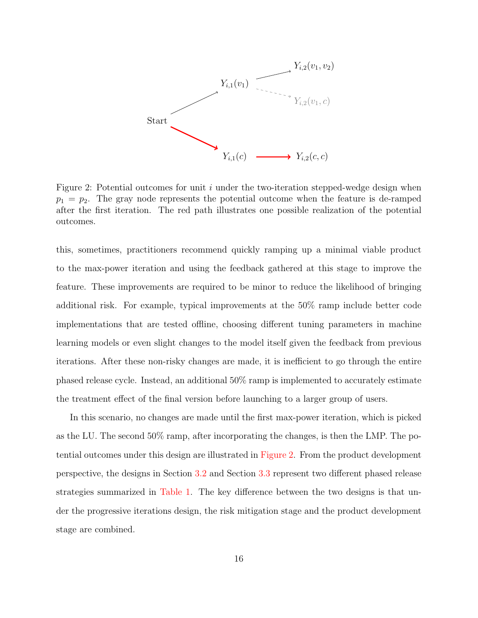<span id="page-15-0"></span>

Figure 2: Potential outcomes for unit  $i$  under the two-iteration stepped-wedge design when  $p_1 = p_2$ . The gray node represents the potential outcome when the feature is de-ramped after the first iteration. The red path illustrates one possible realization of the potential outcomes.

this, sometimes, practitioners recommend quickly ramping up a minimal viable product to the max-power iteration and using the feedback gathered at this stage to improve the feature. These improvements are required to be minor to reduce the likelihood of bringing additional risk. For example, typical improvements at the 50% ramp include better code implementations that are tested offline, choosing different tuning parameters in machine learning models or even slight changes to the model itself given the feedback from previous iterations. After these non-risky changes are made, it is inefficient to go through the entire phased release cycle. Instead, an additional 50% ramp is implemented to accurately estimate the treatment effect of the final version before launching to a larger group of users.

In this scenario, no changes are made until the first max-power iteration, which is picked as the LU. The second 50% ramp, after incorporating the changes, is then the LMP. The potential outcomes under this design are illustrated in [Figure 2.](#page-15-0) From the product development perspective, the designs in Section [3.2](#page-12-1) and Section [3.3](#page-14-1) represent two different phased release strategies summarized in [Table 1.](#page-16-0) The key difference between the two designs is that under the progressive iterations design, the risk mitigation stage and the product development stage are combined.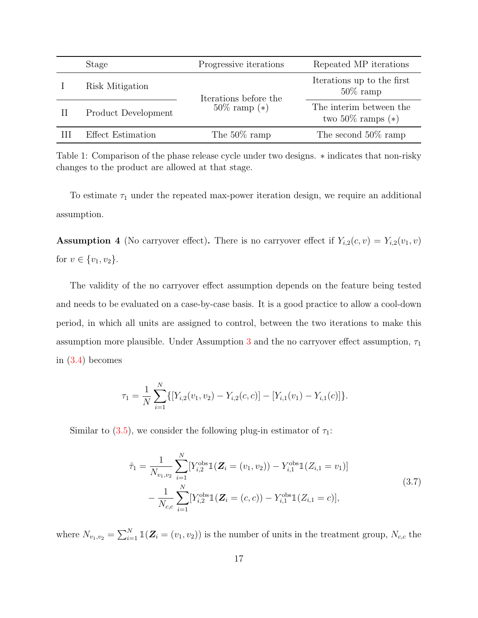<span id="page-16-0"></span>

| Stage               | Progressive iterations                     | Repeated MP iterations                          |
|---------------------|--------------------------------------------|-------------------------------------------------|
| Risk Mitigation     | Iterations before the<br>$50\%$ ramp $(*)$ | Iterations up to the first<br>$50\%$ ramp       |
| Product Development |                                            | The interim between the<br>two 50\% ramps $(*)$ |
| Effect Estimation   | The $50\%$ ramp                            | The second $50\%$ ramp                          |

Table 1: Comparison of the phase release cycle under two designs. ∗ indicates that non-risky changes to the product are allowed at that stage.

To estimate  $\tau_1$  under the repeated max-power iteration design, we require an additional assumption.

**Assumption 4** (No carryover effect). There is no carryover effect if  $Y_{i,2}(c, v) = Y_{i,2}(v_1, v)$ for  $v \in \{v_1, v_2\}$ .

The validity of the no carryover effect assumption depends on the feature being tested and needs to be evaluated on a case-by-case basis. It is a good practice to allow a cool-down period, in which all units are assigned to control, between the two iterations to make this assumption more plausible. Under Assumption [3](#page-10-0) and the no carryover effect assumption,  $\tau_1$ in [\(3.4\)](#page-12-2) becomes

$$
\tau_1 = \frac{1}{N} \sum_{i=1}^N \{ [Y_{i,2}(v_1, v_2) - Y_{i,2}(c, c)] - [Y_{i,1}(v_1) - Y_{i,1}(c)] \}.
$$

Similar to [\(3.5\)](#page-12-0), we consider the following plug-in estimator of  $\tau_1$ :

<span id="page-16-1"></span>
$$
\hat{\tau}_1 = \frac{1}{N_{v_1, v_2}} \sum_{i=1}^{N} [Y_{i,2}^{\text{obs}} \mathbb{1}(\boldsymbol{Z}_i = (v_1, v_2)) - Y_{i,1}^{\text{obs}} \mathbb{1}(Z_{i,1} = v_1)] \n- \frac{1}{N_{c,c}} \sum_{i=1}^{N} [Y_{i,2}^{\text{obs}} \mathbb{1}(\boldsymbol{Z}_i = (c, c)) - Y_{i,1}^{\text{obs}} \mathbb{1}(Z_{i,1} = c)],
$$
\n(3.7)

where  $N_{v_1,v_2} = \sum_{i=1}^{N} \mathbb{1}(\mathbf{Z}_i = (v_1, v_2))$  is the number of units in the treatment group,  $N_{c,c}$  the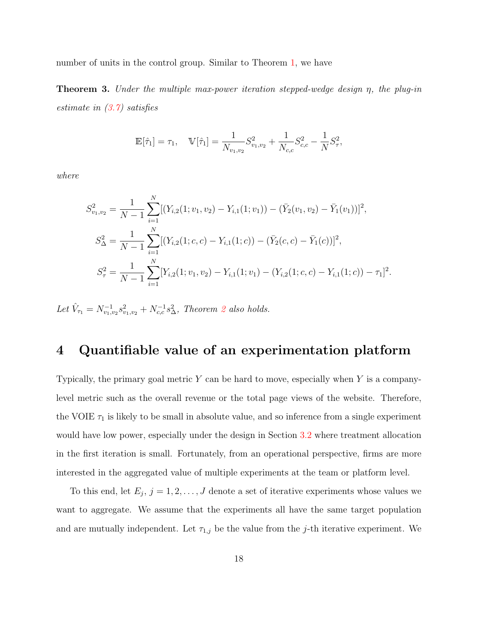number of units in the control group. Similar to Theorem [1,](#page-12-3) we have

**Theorem 3.** Under the multiple max-power iteration stepped-wedge design  $\eta$ , the plug-in estimate in  $(3.7)$  satisfies

$$
\mathbb{E}[\hat{\tau}_1] = \tau_1, \quad \mathbb{V}[\hat{\tau}_1] = \frac{1}{N_{v_1, v_2}} S_{v_1, v_2}^2 + \frac{1}{N_{c,c}} S_{c,c}^2 - \frac{1}{N} S_{\tau}^2,
$$

where

$$
S_{v_1, v_2}^2 = \frac{1}{N-1} \sum_{i=1}^N [(Y_{i,2}(1; v_1, v_2) - Y_{i,1}(1; v_1)) - (\bar{Y}_2(v_1, v_2) - \bar{Y}_1(v_1))]^2,
$$
  
\n
$$
S_{\Delta}^2 = \frac{1}{N-1} \sum_{i=1}^N [(Y_{i,2}(1; c, c) - Y_{i,1}(1; c)) - (\bar{Y}_2(c, c) - \bar{Y}_1(c))]^2,
$$
  
\n
$$
S_{\tau}^2 = \frac{1}{N-1} \sum_{i=1}^N [Y_{i,2}(1; v_1, v_2) - Y_{i,1}(1; v_1) - (Y_{i,2}(1; c, c) - Y_{i,1}(1; c)) - \tau_1]^2.
$$

Let  $\hat{V}_{\tau_1} = N_{v_1, v_2}^{-1} s_{v_1, v_2}^2 + N_{c,c}^{-1} s_{\Delta}^2$  $\hat{V}_{\tau_1} = N_{v_1, v_2}^{-1} s_{v_1, v_2}^2 + N_{c,c}^{-1} s_{\Delta}^2$  $\hat{V}_{\tau_1} = N_{v_1, v_2}^{-1} s_{v_1, v_2}^2 + N_{c,c}^{-1} s_{\Delta}^2$ , Theorem 2 also holds.

## <span id="page-17-0"></span>4 Quantifiable value of an experimentation platform

Typically, the primary goal metric  $Y$  can be hard to move, especially when  $Y$  is a companylevel metric such as the overall revenue or the total page views of the website. Therefore, the VOIE  $\tau_1$  is likely to be small in absolute value, and so inference from a single experiment would have low power, especially under the design in Section [3.2](#page-12-1) where treatment allocation in the first iteration is small. Fortunately, from an operational perspective, firms are more interested in the aggregated value of multiple experiments at the team or platform level.

To this end, let  $E_j$ ,  $j = 1, 2, ..., J$  denote a set of iterative experiments whose values we want to aggregate. We assume that the experiments all have the same target population and are mutually independent. Let  $\tau_{1,j}$  be the value from the j-th iterative experiment. We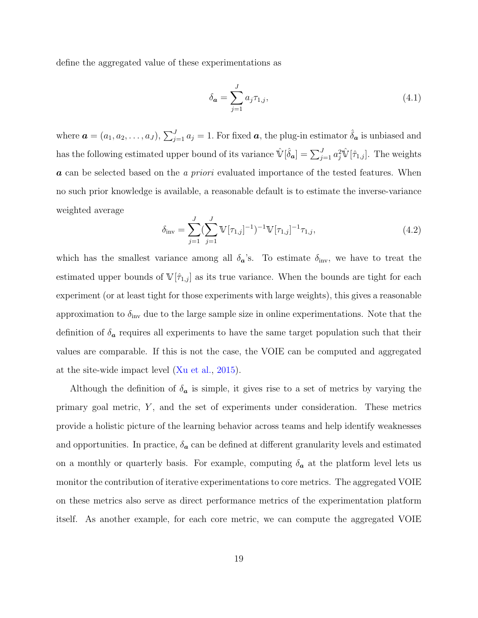define the aggregated value of these experimentations as

$$
\delta_{\mathbf{a}} = \sum_{j=1}^{J} a_j \tau_{1,j},\tag{4.1}
$$

where  $\bm{a}=(a_1,a_2,\ldots,a_J),$   $\sum_{j=1}^J a_j=1$ . For fixed  $\bm{a}$ , the plug-in estimator  $\hat{\delta}_{\bm{a}}$  is unbiased and has the following estimated upper bound of its variance  $\hat{\mathbb{V}}[\hat{\delta}_a] = \sum_{j=1}^J a_j^2 \hat{\mathbb{V}}[\hat{\tau}_{1,j}]$ . The weights a can be selected based on the a priori evaluated importance of the tested features. When no such prior knowledge is available, a reasonable default is to estimate the inverse-variance weighted average

<span id="page-18-0"></span>
$$
\delta_{\text{inv}} = \sum_{j=1}^{J} (\sum_{j=1}^{J} \mathbb{V}[\tau_{1,j}]^{-1})^{-1} \mathbb{V}[\tau_{1,j}]^{-1} \tau_{1,j}, \qquad (4.2)
$$

which has the smallest variance among all  $\delta_{\mathbf{a}}$ 's. To estimate  $\delta_{\text{inv}}$ , we have to treat the estimated upper bounds of  $\mathbb{V}[\hat{\tau}_{1,j}]$  as its true variance. When the bounds are tight for each experiment (or at least tight for those experiments with large weights), this gives a reasonable approximation to  $\delta_{\text{inv}}$  due to the large sample size in online experimentations. Note that the definition of  $\delta_{a}$  requires all experiments to have the same target population such that their values are comparable. If this is not the case, the VOIE can be computed and aggregated at the site-wide impact level [\(Xu et al.,](#page-28-2) [2015\)](#page-28-2).

Although the definition of  $\delta_{a}$  is simple, it gives rise to a set of metrics by varying the primary goal metric,  $Y$ , and the set of experiments under consideration. These metrics provide a holistic picture of the learning behavior across teams and help identify weaknesses and opportunities. In practice,  $\delta_{a}$  can be defined at different granularity levels and estimated on a monthly or quarterly basis. For example, computing  $\delta_{a}$  at the platform level lets us monitor the contribution of iterative experimentations to core metrics. The aggregated VOIE on these metrics also serve as direct performance metrics of the experimentation platform itself. As another example, for each core metric, we can compute the aggregated VOIE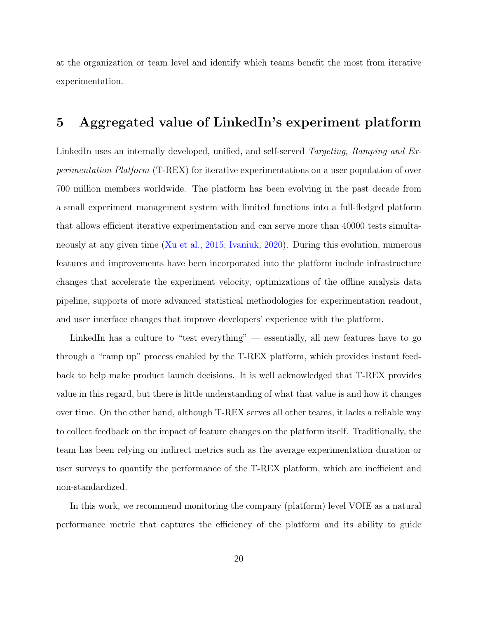at the organization or team level and identify which teams benefit the most from iterative experimentation.

## <span id="page-19-0"></span>5 Aggregated value of LinkedIn's experiment platform

LinkedIn uses an internally developed, unified, and self-served Targeting, Ramping and Experimentation Platform (T-REX) for iterative experimentations on a user population of over 700 million members worldwide. The platform has been evolving in the past decade from a small experiment management system with limited functions into a full-fledged platform that allows efficient iterative experimentation and can serve more than 40000 tests simultaneously at any given time [\(Xu et al.,](#page-28-2) [2015;](#page-28-2) [Ivaniuk,](#page-26-10) [2020\)](#page-26-10). During this evolution, numerous features and improvements have been incorporated into the platform include infrastructure changes that accelerate the experiment velocity, optimizations of the offline analysis data pipeline, supports of more advanced statistical methodologies for experimentation readout, and user interface changes that improve developers' experience with the platform.

LinkedIn has a culture to "test everything" — essentially, all new features have to go through a "ramp up" process enabled by the T-REX platform, which provides instant feedback to help make product launch decisions. It is well acknowledged that T-REX provides value in this regard, but there is little understanding of what that value is and how it changes over time. On the other hand, although T-REX serves all other teams, it lacks a reliable way to collect feedback on the impact of feature changes on the platform itself. Traditionally, the team has been relying on indirect metrics such as the average experimentation duration or user surveys to quantify the performance of the T-REX platform, which are inefficient and non-standardized.

In this work, we recommend monitoring the company (platform) level VOIE as a natural performance metric that captures the efficiency of the platform and its ability to guide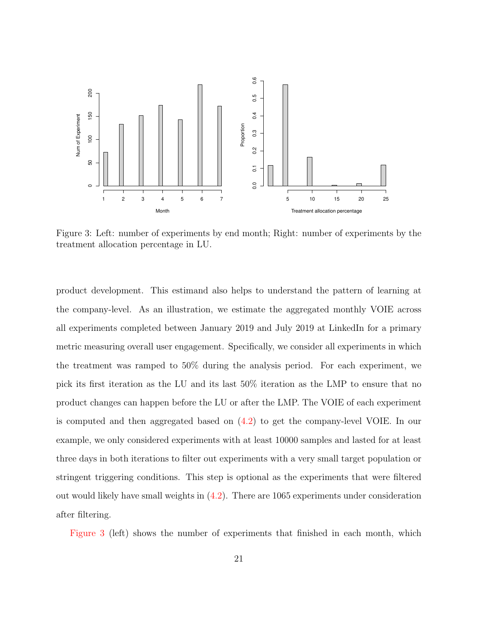<span id="page-20-0"></span>

Figure 3: Left: number of experiments by end month; Right: number of experiments by the treatment allocation percentage in LU.

product development. This estimand also helps to understand the pattern of learning at the company-level. As an illustration, we estimate the aggregated monthly VOIE across all experiments completed between January 2019 and July 2019 at LinkedIn for a primary metric measuring overall user engagement. Specifically, we consider all experiments in which the treatment was ramped to 50% during the analysis period. For each experiment, we pick its first iteration as the LU and its last 50% iteration as the LMP to ensure that no product changes can happen before the LU or after the LMP. The VOIE of each experiment is computed and then aggregated based on [\(4.2\)](#page-18-0) to get the company-level VOIE. In our example, we only considered experiments with at least 10000 samples and lasted for at least three days in both iterations to filter out experiments with a very small target population or stringent triggering conditions. This step is optional as the experiments that were filtered out would likely have small weights in [\(4.2\)](#page-18-0). There are 1065 experiments under consideration after filtering.

[Figure 3](#page-20-0) (left) shows the number of experiments that finished in each month, which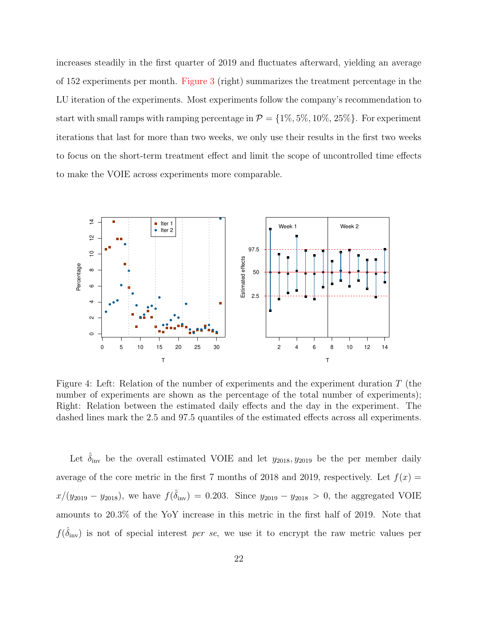increases steadily in the first quarter of 2019 and fluctuates afterward, yielding an average of 152 experiments per month. [Figure 3](#page-20-0) (right) summarizes the treatment percentage in the LU iteration of the experiments. Most experiments follow the company's recommendation to start with small ramps with ramping percentage in  $\mathcal{P} = \{1\%, 5\%, 10\%, 25\%\}$ . For experiment iterations that last for more than two weeks, we only use their results in the first two weeks to focus on the short-term treatment effect and limit the scope of uncontrolled time effects to make the VOIE across experiments more comparable.

<span id="page-21-0"></span>

Figure 4: Left: Relation of the number of experiments and the experiment duration T (the number of experiments are shown as the percentage of the total number of experiments); Right: Relation between the estimated daily effects and the day in the experiment. The dashed lines mark the 2.5 and 97.5 quantiles of the estimated effects across all experiments.

Let  $\delta_{\text{inv}}$  be the overall estimated VOIE and let  $y_{2018}, y_{2019}$  be the per member daily average of the core metric in the first 7 months of 2018 and 2019, respectively. Let  $f(x) =$  $x/(y_{2019} - y_{2018})$ , we have  $f(\hat{\delta}_{inv}) = 0.203$ . Since  $y_{2019} - y_{2018} > 0$ , the aggregated VOIE amounts to 20.3% of the YoY increase in this metric in the first half of 2019. Note that  $f(\hat{\delta}_{\text{inv}})$  is not of special interest per se, we use it to encrypt the raw metric values per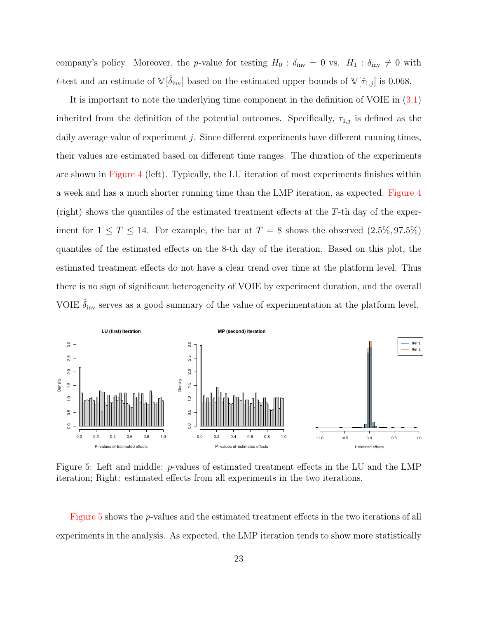company's policy. Moreover, the p-value for testing  $H_0$ :  $\delta_{\text{inv}} = 0$  vs.  $H_1 : \delta_{\text{inv}} \neq 0$  with t-test and an estimate of  $\mathbb{V}[\hat{\delta}_{\text{inv}}]$  based on the estimated upper bounds of  $\mathbb{V}[\hat{\tau}_{1,j}]$  is 0.068.

It is important to note the underlying time component in the definition of VOIE in [\(3.1\)](#page-9-0) inherited from the definition of the potential outcomes. Specifically,  $\tau_{1,j}$  is defined as the daily average value of experiment  $j$ . Since different experiments have different running times, their values are estimated based on different time ranges. The duration of the experiments are shown in [Figure 4](#page-21-0) (left). Typically, the LU iteration of most experiments finishes within a week and has a much shorter running time than the LMP iteration, as expected. [Figure 4](#page-21-0) (right) shows the quantiles of the estimated treatment effects at the  $T$ -th day of the experiment for  $1 \leq T \leq 14$ . For example, the bar at  $T = 8$  shows the observed  $(2.5\%, 97.5\%)$ quantiles of the estimated effects on the 8-th day of the iteration. Based on this plot, the estimated treatment effects do not have a clear trend over time at the platform level. Thus there is no sign of significant heterogeneity of VOIE by experiment duration, and the overall VOIE  $\hat{\delta}_{\text{inv}}$  serves as a good summary of the value of experimentation at the platform level.

<span id="page-22-0"></span>

Figure 5: Left and middle: p-values of estimated treatment effects in the LU and the LMP iteration; Right: estimated effects from all experiments in the two iterations.

[Figure 5](#page-22-0) shows the p-values and the estimated treatment effects in the two iterations of all experiments in the analysis. As expected, the LMP iteration tends to show more statistically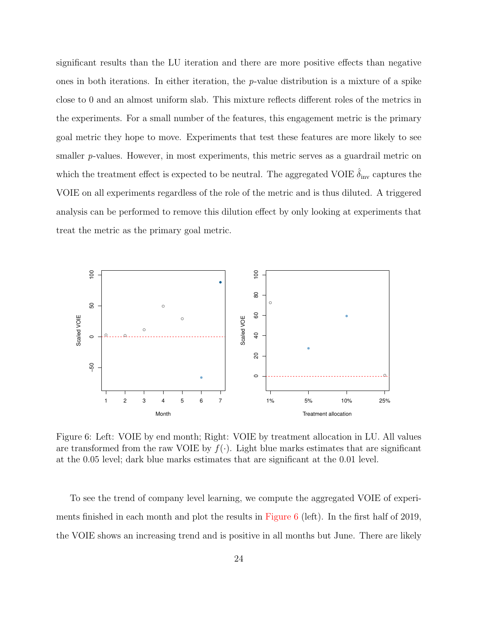significant results than the LU iteration and there are more positive effects than negative ones in both iterations. In either iteration, the  $p$ -value distribution is a mixture of a spike close to 0 and an almost uniform slab. This mixture reflects different roles of the metrics in the experiments. For a small number of the features, this engagement metric is the primary goal metric they hope to move. Experiments that test these features are more likely to see smaller p-values. However, in most experiments, this metric serves as a guardrail metric on which the treatment effect is expected to be neutral. The aggregated VOIE  $\hat{\delta}_{\text{inv}}$  captures the VOIE on all experiments regardless of the role of the metric and is thus diluted. A triggered analysis can be performed to remove this dilution effect by only looking at experiments that treat the metric as the primary goal metric.

<span id="page-23-0"></span>

Figure 6: Left: VOIE by end month; Right: VOIE by treatment allocation in LU. All values are transformed from the raw VOIE by  $f(.)$ . Light blue marks estimates that are significant at the 0.05 level; dark blue marks estimates that are significant at the 0.01 level.

To see the trend of company level learning, we compute the aggregated VOIE of experiments finished in each month and plot the results in [Figure 6](#page-23-0) (left). In the first half of 2019, the VOIE shows an increasing trend and is positive in all months but June. There are likely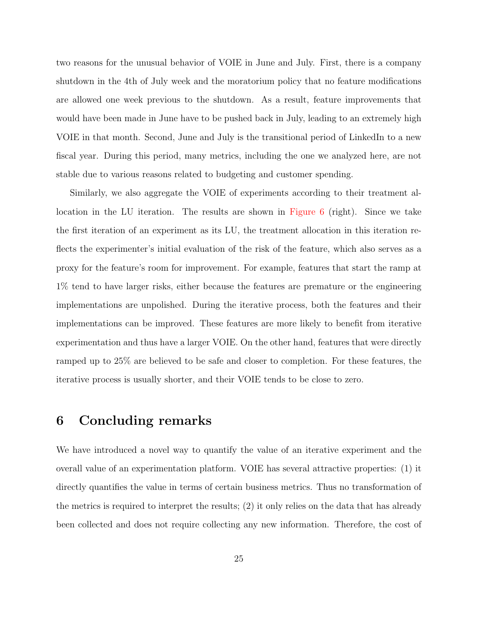two reasons for the unusual behavior of VOIE in June and July. First, there is a company shutdown in the 4th of July week and the moratorium policy that no feature modifications are allowed one week previous to the shutdown. As a result, feature improvements that would have been made in June have to be pushed back in July, leading to an extremely high VOIE in that month. Second, June and July is the transitional period of LinkedIn to a new fiscal year. During this period, many metrics, including the one we analyzed here, are not stable due to various reasons related to budgeting and customer spending.

Similarly, we also aggregate the VOIE of experiments according to their treatment allocation in the LU iteration. The results are shown in [Figure 6](#page-23-0) (right). Since we take the first iteration of an experiment as its LU, the treatment allocation in this iteration reflects the experimenter's initial evaluation of the risk of the feature, which also serves as a proxy for the feature's room for improvement. For example, features that start the ramp at 1% tend to have larger risks, either because the features are premature or the engineering implementations are unpolished. During the iterative process, both the features and their implementations can be improved. These features are more likely to benefit from iterative experimentation and thus have a larger VOIE. On the other hand, features that were directly ramped up to 25% are believed to be safe and closer to completion. For these features, the iterative process is usually shorter, and their VOIE tends to be close to zero.

## <span id="page-24-0"></span>6 Concluding remarks

We have introduced a novel way to quantify the value of an iterative experiment and the overall value of an experimentation platform. VOIE has several attractive properties: (1) it directly quantifies the value in terms of certain business metrics. Thus no transformation of the metrics is required to interpret the results; (2) it only relies on the data that has already been collected and does not require collecting any new information. Therefore, the cost of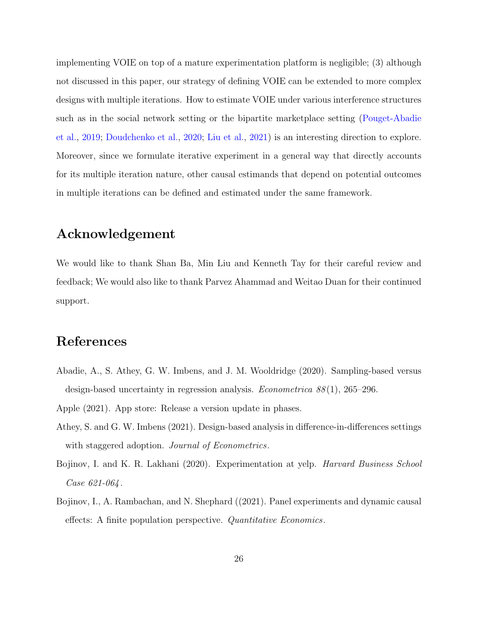implementing VOIE on top of a mature experimentation platform is negligible; (3) although not discussed in this paper, our strategy of defining VOIE can be extended to more complex designs with multiple iterations. How to estimate VOIE under various interference structures such as in the social network setting or the bipartite marketplace setting [\(Pouget-Abadie](#page-27-7) [et al.,](#page-27-7) [2019;](#page-27-7) [Doudchenko et al.,](#page-26-11) [2020;](#page-26-11) [Liu et al.,](#page-27-8) [2021\)](#page-27-8) is an interesting direction to explore. Moreover, since we formulate iterative experiment in a general way that directly accounts for its multiple iteration nature, other causal estimands that depend on potential outcomes in multiple iterations can be defined and estimated under the same framework.

## Acknowledgement

We would like to thank Shan Ba, Min Liu and Kenneth Tay for their careful review and feedback; We would also like to thank Parvez Ahammad and Weitao Duan for their continued support.

## References

- <span id="page-25-1"></span>Abadie, A., S. Athey, G. W. Imbens, and J. M. Wooldridge (2020). Sampling-based versus design-based uncertainty in regression analysis. *Econometrica*  $88(1)$ , 265–296.
- <span id="page-25-4"></span><span id="page-25-2"></span>Apple (2021). App store: Release a version update in phases.
- Athey, S. and G. W. Imbens (2021). Design-based analysis in difference-in-differences settings with staggered adoption. Journal of Econometrics.
- <span id="page-25-0"></span>Bojinov, I. and K. R. Lakhani (2020). Experimentation at yelp. Harvard Business School Case 621-064 .
- <span id="page-25-3"></span>Bojinov, I., A. Rambachan, and N. Shephard ((2021). Panel experiments and dynamic causal effects: A finite population perspective. Quantitative Economics.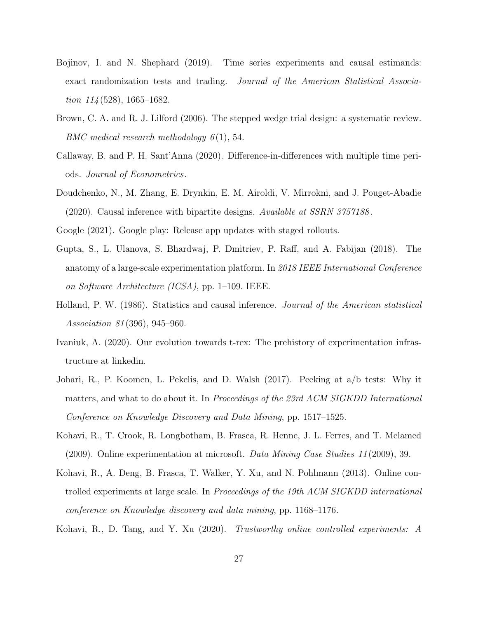- <span id="page-26-6"></span>Bojinov, I. and N. Shephard (2019). Time series experiments and causal estimands: exact randomization tests and trading. Journal of the American Statistical Association  $114(528)$ , 1665–1682.
- <span id="page-26-7"></span>Brown, C. A. and R. J. Lilford (2006). The stepped wedge trial design: a systematic review. BMC medical research methodology  $6(1)$ , 54.
- <span id="page-26-8"></span>Callaway, B. and P. H. Sant'Anna (2020). Difference-in-differences with multiple time periods. Journal of Econometrics.
- <span id="page-26-11"></span>Doudchenko, N., M. Zhang, E. Drynkin, E. M. Airoldi, V. Mirrokni, and J. Pouget-Abadie (2020). Causal inference with bipartite designs. Available at SSRN 3757188 .
- <span id="page-26-5"></span><span id="page-26-3"></span>Google (2021). Google play: Release app updates with staged rollouts.
- Gupta, S., L. Ulanova, S. Bhardwaj, P. Dmitriev, P. Raff, and A. Fabijan (2018). The anatomy of a large-scale experimentation platform. In 2018 IEEE International Conference on Software Architecture (ICSA), pp. 1–109. IEEE.
- <span id="page-26-9"></span>Holland, P. W. (1986). Statistics and causal inference. Journal of the American statistical Association 81 (396), 945–960.
- <span id="page-26-10"></span>Ivaniuk, A. (2020). Our evolution towards t-rex: The prehistory of experimentation infrastructure at linkedin.
- <span id="page-26-1"></span>Johari, R., P. Koomen, L. Pekelis, and D. Walsh (2017). Peeking at a/b tests: Why it matters, and what to do about it. In Proceedings of the 23rd ACM SIGKDD International Conference on Knowledge Discovery and Data Mining, pp. 1517–1525.
- <span id="page-26-2"></span>Kohavi, R., T. Crook, R. Longbotham, B. Frasca, R. Henne, J. L. Ferres, and T. Melamed (2009). Online experimentation at microsoft. Data Mining Case Studies  $11(2009)$ , 39.
- <span id="page-26-0"></span>Kohavi, R., A. Deng, B. Frasca, T. Walker, Y. Xu, and N. Pohlmann (2013). Online controlled experiments at large scale. In *Proceedings of the 19th ACM SIGKDD international* conference on Knowledge discovery and data mining, pp. 1168–1176.
- <span id="page-26-4"></span>Kohavi, R., D. Tang, and Y. Xu (2020). Trustworthy online controlled experiments: A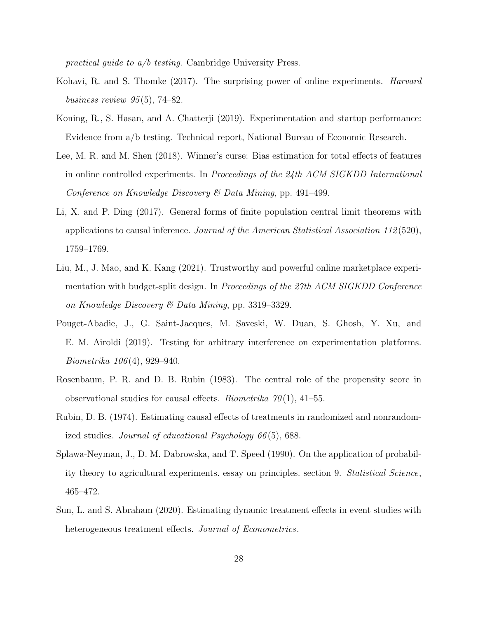practical guide to a/b testing. Cambridge University Press.

- <span id="page-27-1"></span>Kohavi, R. and S. Thomke (2017). The surprising power of online experiments. Harvard business review  $95(5)$ , 74–82.
- <span id="page-27-2"></span>Koning, R., S. Hasan, and A. Chatterji (2019). Experimentation and startup performance: Evidence from a/b testing. Technical report, National Bureau of Economic Research.
- <span id="page-27-0"></span>Lee, M. R. and M. Shen (2018). Winner's curse: Bias estimation for total effects of features in online controlled experiments. In *Proceedings of the*  $24th$  *ACM SIGKDD International* Conference on Knowledge Discovery & Data Mining, pp. 491–499.
- <span id="page-27-9"></span>Li, X. and P. Ding (2017). General forms of finite population central limit theorems with applications to causal inference. Journal of the American Statistical Association 112 (520), 1759–1769.
- <span id="page-27-8"></span>Liu, M., J. Mao, and K. Kang (2021). Trustworthy and powerful online marketplace experimentation with budget-split design. In Proceedings of the 27th ACM SIGKDD Conference on Knowledge Discovery & Data Mining, pp. 3319–3329.
- <span id="page-27-7"></span>Pouget-Abadie, J., G. Saint-Jacques, M. Saveski, W. Duan, S. Ghosh, Y. Xu, and E. M. Airoldi (2019). Testing for arbitrary interference on experimentation platforms. Biometrika 106 (4), 929–940.
- <span id="page-27-6"></span>Rosenbaum, P. R. and D. B. Rubin (1983). The central role of the propensity score in observational studies for causal effects. *Biometrika*  $70(1)$ , 41–55.
- <span id="page-27-5"></span>Rubin, D. B. (1974). Estimating causal effects of treatments in randomized and nonrandomized studies. Journal of educational Psychology 66 (5), 688.
- <span id="page-27-4"></span>Splawa-Neyman, J., D. M. Dabrowska, and T. Speed (1990). On the application of probability theory to agricultural experiments. essay on principles. section 9. Statistical Science, 465–472.
- <span id="page-27-3"></span>Sun, L. and S. Abraham (2020). Estimating dynamic treatment effects in event studies with heterogeneous treatment effects. Journal of Econometrics.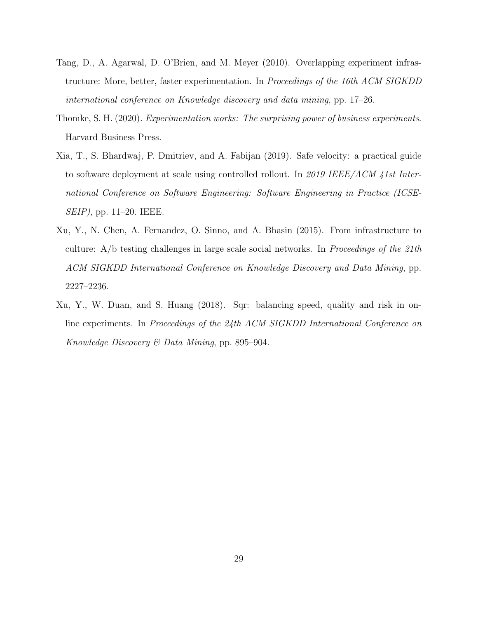- <span id="page-28-1"></span>Tang, D., A. Agarwal, D. O'Brien, and M. Meyer (2010). Overlapping experiment infrastructure: More, better, faster experimentation. In Proceedings of the 16th ACM SIGKDD international conference on Knowledge discovery and data mining, pp. 17–26.
- <span id="page-28-0"></span>Thomke, S. H. (2020). Experimentation works: The surprising power of business experiments. Harvard Business Press.
- <span id="page-28-3"></span>Xia, T., S. Bhardwaj, P. Dmitriev, and A. Fabijan (2019). Safe velocity: a practical guide to software deployment at scale using controlled rollout. In 2019 IEEE/ACM 41st International Conference on Software Engineering: Software Engineering in Practice (ICSE-SEIP), pp. 11–20. IEEE.
- <span id="page-28-2"></span>Xu, Y., N. Chen, A. Fernandez, O. Sinno, and A. Bhasin (2015). From infrastructure to culture: A/b testing challenges in large scale social networks. In Proceedings of the 21th ACM SIGKDD International Conference on Knowledge Discovery and Data Mining, pp. 2227–2236.
- <span id="page-28-4"></span>Xu, Y., W. Duan, and S. Huang (2018). Sqr: balancing speed, quality and risk in online experiments. In Proceedings of the 24th ACM SIGKDD International Conference on Knowledge Discovery & Data Mining, pp. 895–904.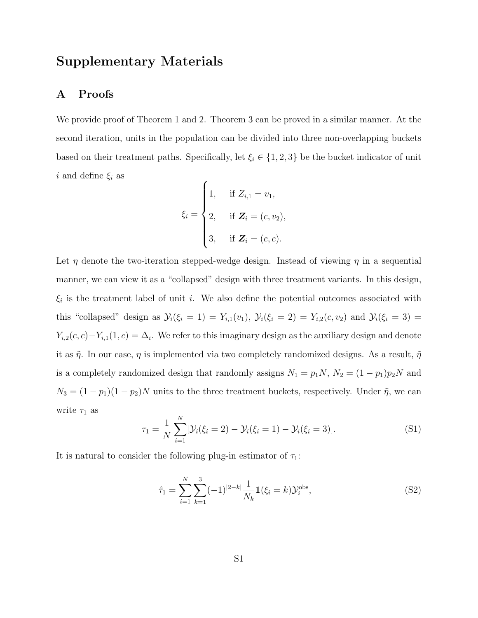## Supplementary Materials

#### A Proofs

We provide proof of Theorem 1 and 2. Theorem 3 can be proved in a similar manner. At the second iteration, units in the population can be divided into three non-overlapping buckets based on their treatment paths. Specifically, let  $\xi_i \in \{1, 2, 3\}$  be the bucket indicator of unit i and define  $\xi_i$  as í

$$
\xi_i = \begin{cases} 1, & \text{if } Z_{i,1} = v_1, \\ 2, & \text{if } \mathbf{Z}_i = (c, v_2), \\ 3, & \text{if } \mathbf{Z}_i = (c, c). \end{cases}
$$

Let  $\eta$  denote the two-iteration stepped-wedge design. Instead of viewing  $\eta$  in a sequential manner, we can view it as a "collapsed" design with three treatment variants. In this design,  $\xi_i$  is the treatment label of unit i. We also define the potential outcomes associated with this "collapsed" design as  $\mathcal{Y}_i(\xi_i = 1) = Y_{i,1}(v_1), \ \mathcal{Y}_i(\xi_i = 2) = Y_{i,2}(c, v_2)$  and  $\mathcal{Y}_i(\xi_i = 3) =$  $Y_{i,2}(c, c) - Y_{i,1}(1, c) = \Delta_i$ . We refer to this imaginary design as the auxiliary design and denote it as  $\tilde{\eta}$ . In our case,  $\eta$  is implemented via two completely randomized designs. As a result,  $\tilde{\eta}$ is a completely randomized design that randomly assigns  $N_1 = p_1N$ ,  $N_2 = (1 - p_1)p_2N$  and  $N_3 = (1 - p_1)(1 - p_2)N$  units to the three treatment buckets, respectively. Under  $\tilde{\eta}$ , we can write  $\tau_1$  as

<span id="page-29-0"></span>
$$
\tau_1 = \frac{1}{N} \sum_{i=1}^{N} [\mathcal{Y}_i(\xi_i = 2) - \mathcal{Y}_i(\xi_i = 1) - \mathcal{Y}_i(\xi_i = 3)].
$$
\n(S1)

It is natural to consider the following plug-in estimator of  $\tau_1$ :

<span id="page-29-1"></span>
$$
\hat{\tau}_1 = \sum_{i=1}^{N} \sum_{k=1}^{3} (-1)^{|2-k|} \frac{1}{N_k} \mathbb{1}(\xi_i = k) \mathcal{Y}_i^{\text{obs}},
$$
\n(S2)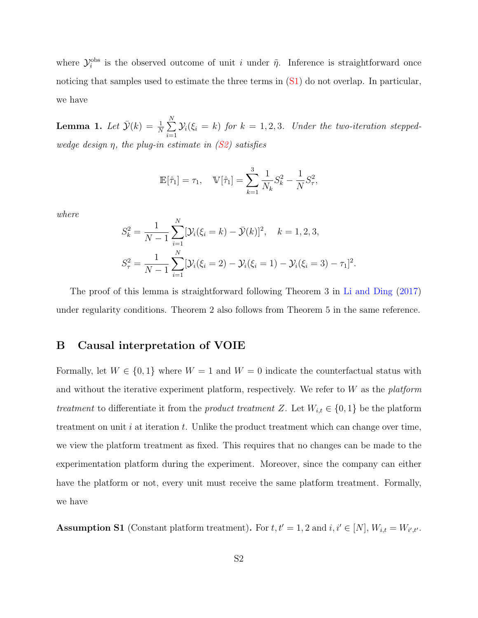where  $\mathcal{Y}_i^{\text{obs}}$  is the observed outcome of unit i under  $\tilde{\eta}$ . Inference is straightforward once noticing that samples used to estimate the three terms in  $(S1)$  do not overlap. In particular, we have

**Lemma 1.** Let  $\bar{\mathcal{Y}}(k) = \frac{1}{N} \sum_{k=1}^{N}$  $i=1$  $\mathcal{Y}_i(\xi_i = k)$  for  $k = 1, 2, 3$ . Under the two-iteration steppedwedge design  $\eta$ , the plug-in estimate in  $(S2)$  satisfies

$$
\mathbb{E}[\hat{\tau}_1] = \tau_1, \quad \mathbb{V}[\hat{\tau}_1] = \sum_{k=1}^3 \frac{1}{N_k} S_k^2 - \frac{1}{N} S_\tau^2,
$$

where

$$
S_k^2 = \frac{1}{N-1} \sum_{i=1}^N [\mathcal{Y}_i(\xi_i = k) - \bar{\mathcal{Y}}(k)]^2, \quad k = 1, 2, 3,
$$
  

$$
S_\tau^2 = \frac{1}{N-1} \sum_{i=1}^N [\mathcal{Y}_i(\xi_i = 2) - \mathcal{Y}_i(\xi_i = 1) - \mathcal{Y}_i(\xi_i = 3) - \tau_1]^2.
$$

The proof of this lemma is straightforward following Theorem 3 in [Li and Ding](#page-27-9) [\(2017\)](#page-27-9) under regularity conditions. Theorem 2 also follows from Theorem 5 in the same reference.

#### B Causal interpretation of VOIE

Formally, let  $W \in \{0,1\}$  where  $W = 1$  and  $W = 0$  indicate the counterfactual status with and without the iterative experiment platform, respectively. We refer to  $W$  as the *platform* treatment to differentiate it from the *product treatment Z*. Let  $W_{i,t} \in \{0,1\}$  be the platform treatment on unit  $i$  at iteration  $t$ . Unlike the product treatment which can change over time, we view the platform treatment as fixed. This requires that no changes can be made to the experimentation platform during the experiment. Moreover, since the company can either have the platform or not, every unit must receive the same platform treatment. Formally, we have

**Assumption S1** (Constant platform treatment). For  $t, t' = 1, 2$  and  $i, i' \in [N], W_{i,t} = W_{i',t'}$ .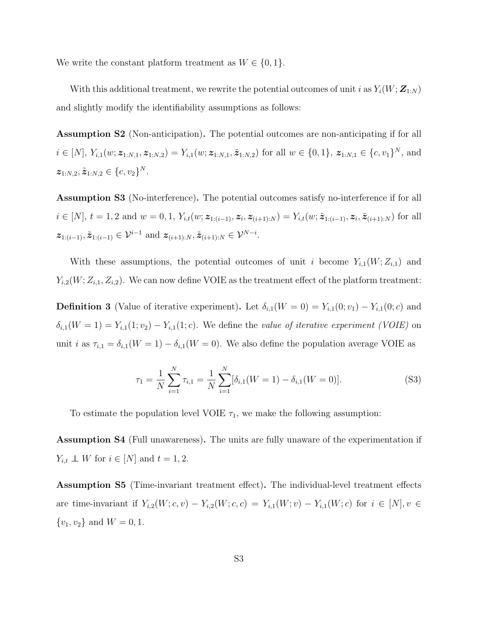We write the constant platform treatment as  $W \in \{0, 1\}.$ 

With this additional treatment, we rewrite the potential outcomes of unit i as  $Y_i(W; \mathbf{Z}_{1:N})$ and slightly modify the identifiability assumptions as follows:

Assumption S2 (Non-anticipation). The potential outcomes are non-anticipating if for all  $i \in [N], Y_{i,1}(w; \mathbf{z}_{1:N,1}, \mathbf{z}_{1:N,2}) = Y_{i,1}(w; \mathbf{z}_{1:N,1}, \tilde{\mathbf{z}}_{1:N,2})$  for all  $w \in \{0,1\}, \mathbf{z}_{1:N,1} \in \{c, v_1\}^N$ , and  $\boldsymbol{z}_{1:N,2}, \tilde{\boldsymbol{z}}_{1:N,2} \in \{c, v_2\}^N.$ 

Assumption S3 (No-interference). The potential outcomes satisfy no-interference if for all  $i \in [N], t = 1, 2$  and  $w = 0, 1, Y_{i,t}(w; \mathbf{z}_{1:(i-1)}, \mathbf{z}_i, \mathbf{z}_{(i+1):N}) = Y_{i,t}(w; \tilde{\mathbf{z}}_{1:(i-1)}, \mathbf{z}_i, \tilde{\mathbf{z}}_{(i+1):N})$  for all  $z_{1:(i-1)}, \tilde{z}_{1:(i-1)} \in \mathcal{V}^{i-1}$  and  $z_{(i+1):N}, \tilde{z}_{(i+1):N} \in \mathcal{V}^{N-i}$ .

With these assumptions, the potential outcomes of unit i become  $Y_{i,1}(W;Z_{i,1})$  and  $Y_{i,2}(W;Z_{i,1},Z_{i,2})$ . We can now define VOIE as the treatment effect of the platform treatment:

**Definition 3** (Value of iterative experiment). Let  $\delta_{i,1}(W = 0) = Y_{i,1}(0; v_1) - Y_{i,1}(0; c)$  and  $\delta_{i,1}(W=1) = Y_{i,1}(1; v_2) - Y_{i,1}(1; c)$ . We define the value of iterative experiment (VOIE) on unit *i* as  $\tau_{i,1} = \delta_{i,1}(W = 1) - \delta_{i,1}(W = 0)$ . We also define the population average VOIE as

$$
\tau_1 = \frac{1}{N} \sum_{i=1}^{N} \tau_{i,1} = \frac{1}{N} \sum_{i=1}^{N} [\delta_{i,1}(W = 1) - \delta_{i,1}(W = 0)].
$$
\n(S3)

To estimate the population level VOIE  $\tau_1$ , we make the following assumption:

Assumption S4 (Full unawareness). The units are fully unaware of the experimentation if  $Y_{i,t} \perp\!\!\!\perp W$  for  $i \in [N]$  and  $t = 1, 2$ .

Assumption S5 (Time-invariant treatment effect). The individual-level treatment effects are time-invariant if  $Y_{i,2}(W; c, v) - Y_{i,2}(W; c, c) = Y_{i,1}(W; v) - Y_{i,1}(W; c)$  for  $i \in [N], v \in$  $\{v_1, v_2\}$  and  $W = 0, 1$ .